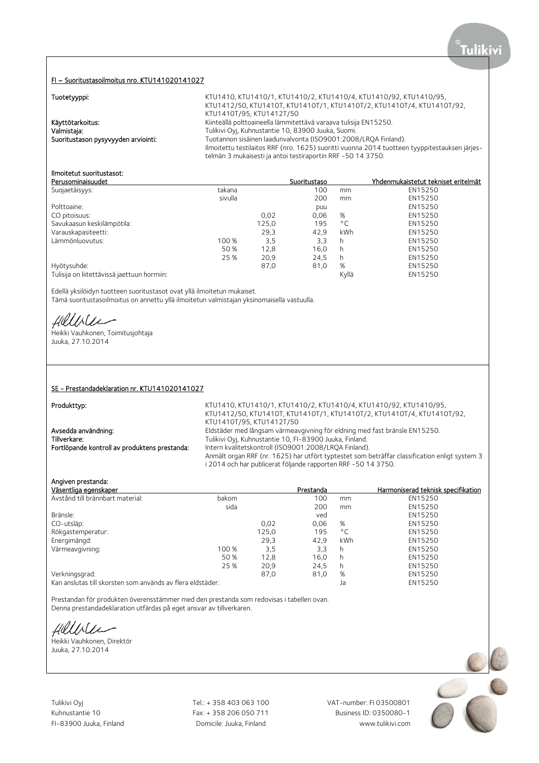#### FI – Suoritustasoilmoitus nro. KTU141020141027

Tuotetyyppi: **KTU1410, KTU1410/1, KTU1410/2, KTU1410/4**, KTU1410/92, KTU1410/95, KTU1412/50, KTU1410T, KTU1410T/1, KTU1410T/2, KTU1410T/4, KTU1410T/92, KTU1410T/95, KTU1412T/50 Käyttötarkoitus: **Käyttötarkoitus:** Kiinteällä polttoaineella lämmitettävä varaava tulisija EN15250. Valmistaja: Tulikivi Oyj, Kuhnustantie 10, 83900 Juuka, Suomi. Suoritustason pysyvyyden arviointi: Tuotannon sisäinen laadunvalvonta (ISO9001:2008/LRQA Finland). Ilmoitettu testilaitos RRF (nro. 1625) suoritti vuonna 2014 tuotteen tyyppitestauksen järjestelmän 3 mukaisesti ja antoi testiraportin RRF -50 14 3750.

# Ilmoitetut suoritustasot:

| Perusominaisuudet                           |         |       | Suoritustaso |              | Yhdenmukaistetut tekniset eritelmät |
|---------------------------------------------|---------|-------|--------------|--------------|-------------------------------------|
| Suojaetäisyys:                              | takana  |       | 100          | mm           | EN15250                             |
|                                             | sivulla |       | 200          | mm           | EN15250                             |
| Polttoaine:                                 |         |       | puu          |              | EN15250                             |
| CO pitoisuus:                               |         | 0,02  | 0,06         | %            | EN15250                             |
| Savukaasun keskilämpötila:                  |         | 125,0 | 195          | $^{\circ}$ C | EN15250                             |
| Varauskapasiteetti:                         |         | 29,3  | 42.9         | kWh          | EN15250                             |
| Lämmönluovutus:                             | 100 %   | 3,5   | 3,3          | h            | EN15250                             |
|                                             | 50%     | 12,8  | 16,0         | h            | EN15250                             |
|                                             | 25 %    | 20,9  | 24.5         | h            | EN15250                             |
| Hyötysuhde:                                 |         | 87,0  | 81,0         | %            | EN15250                             |
| Tulisija on liitettävissä jaettuun hormiin: |         |       |              | Kyllä        | EN15250                             |

Edellä yksilöidyn tuotteen suoritustasot ovat yllä ilmoitetun mukaiset. Tämä suoritustasoilmoitus on annettu yllä ilmoitetun valmistajan yksinomaisella vastuulla.

fillile

Heikki Vauhkonen, Toimitusjohtaja Juuka, 27.10.2014

## SE - Prestandadeklaration nr. KTU141020141027

Produkttyp: example: example: example: KTU1410, KTU1410/1, KTU1410/2, KTU1410/92, KTU1410/95, KTU1412/50, KTU1410T, KTU1410T/1, KTU1410T/2, KTU1410T/4, KTU1410T/92, KTU1410T/95, KTU1412T/50 Avsedda användning: Eldstäder med långsam värmeavgivning för eldning med fast bränsle EN15250.<br>Tillverkare: Tulikivi Ovi, Kuhnustantie 10, FI-83900 Juuka, Finland. Tulikivi Oyj, Kuhnustantie 10, FI-83900 Juuka, Finland. Fortlöpande kontroll av produktens prestanda: Intern kvalitetskontroll (ISO9001:2008/LRQA Finland). Anmält organ RRF (nr. 1625) har utfört typtestet som beträffar classification enligt system 3 i 2014 och har publicerat följande rapporten RRF -50 14 3750.

## Angiven prestanda:

| Väsentliga egenskaper                                      |       |       | Prestanda |              | Harmoniserad teknisk specifikation |
|------------------------------------------------------------|-------|-------|-----------|--------------|------------------------------------|
| Avstånd till brännbart material:                           | bakom |       | 100       | mm           | EN15250                            |
|                                                            | sida  |       | 200       | mm           | EN15250                            |
| Bränsle:                                                   |       |       | ved       |              | EN15250                            |
| CO-utsläp:                                                 |       | 0,02  | 0,06      | %            | EN15250                            |
| Rökgastemperatur:                                          |       | 125,0 | 195       | $^{\circ}$ C | EN15250                            |
| Energimängd:                                               |       | 29,3  | 42,9      | kWh          | EN15250                            |
| Värmeavgivning:                                            | 100 % | 3,5   | 3,3       | h            | EN15250                            |
|                                                            | 50%   | 12,8  | 16.0      | h            | EN15250                            |
|                                                            | 25 %  | 20,9  | 24.5      | h            | EN15250                            |
| Verkningsgrad:                                             |       | 87,0  | 81,0      | %            | EN15250                            |
| Kan anslutas till skorsten som används av flera eldstäder: |       |       |           | Ja           | EN15250                            |

Prestandan för produkten överensstämmer med den prestanda som redovisas i tabellen ovan. Denna prestandadeklaration utfärdas på eget ansvar av tillverkaren.

Hillble

Heikki Vauhkonen, Direktör Juuka, 27.10.2014

Tulikivi Oyj Tel.: + 358 403 063 100 VAT-number: FI 03500801

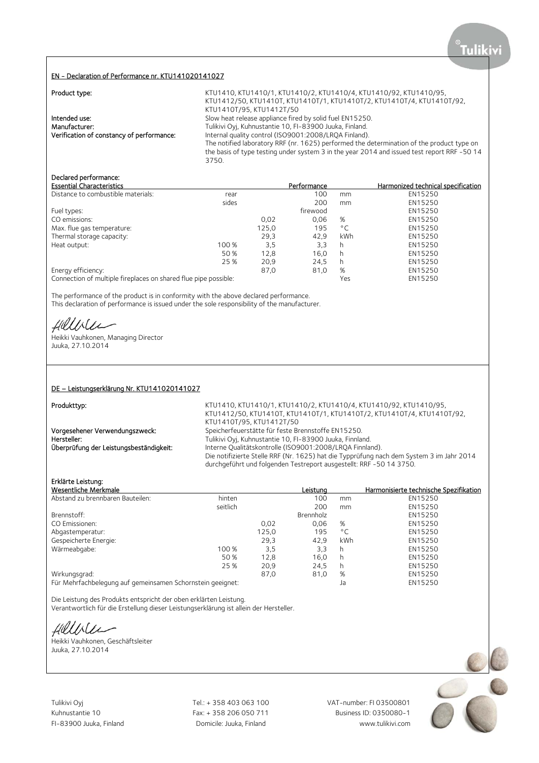## EN - Declaration of Performance nr. KTU141020141027

| Product type:                             | KTU1410, KTU1410/1, KTU1410/2, KTU1410/4, KTU1410/92, KTU1410/95,                                    |
|-------------------------------------------|------------------------------------------------------------------------------------------------------|
|                                           | KTU1412/50, KTU1410T, KTU1410T/1, KTU1410T/2, KTU1410T/4, KTU1410T/92,                               |
|                                           | KTU1410T/95, KTU1412T/50                                                                             |
| Intended use:                             | Slow heat release appliance fired by solid fuel EN15250.                                             |
| Manufacturer:                             | Tulikivi Oyj, Kuhnustantie 10, FI-83900 Juuka, Finland.                                              |
| Verification of constancy of performance: | Internal quality control (ISO9001:2008/LRQA Finland).                                                |
|                                           | The notified laboratory RRF (nr. 1625) performed the determination of the product type on            |
|                                           | the basis of type testing under system 3 in the year 2014 and issued test report RRF -50 14<br>3750. |

#### Declared performance:

| <b>Essential Characteristics</b>                                |       |       | Performance |              | Harmonized technical specification |
|-----------------------------------------------------------------|-------|-------|-------------|--------------|------------------------------------|
| Distance to combustible materials:                              | rear  |       | 100         | mm           | EN15250                            |
|                                                                 | sides |       | 200         | mm           | EN15250                            |
| Fuel types:                                                     |       |       | firewood    |              | EN15250                            |
| CO emissions:                                                   |       | 0.02  | 0.06        | %            | EN15250                            |
| Max. flue gas temperature:                                      |       | 125,0 | 195         | $^{\circ}$ C | EN15250                            |
| Thermal storage capacity:                                       |       | 29,3  | 42.9        | kWh          | EN15250                            |
| Heat output:                                                    | 100 % | 3,5   | 3,3         | h            | EN15250                            |
|                                                                 | 50 %  | 12.8  | 16.0        | h            | EN15250                            |
|                                                                 | 25 %  | 20,9  | 24,5        | h            | EN15250                            |
| Energy efficiency:                                              |       | 87,0  | 81,0        | %            | EN15250                            |
| Connection of multiple fireplaces on shared flue pipe possible: |       |       | Yes         | EN15250      |                                    |

The performance of the product is in conformity with the above declared performance. This declaration of performance is issued under the sole responsibility of the manufacturer.

fillisler

Heikki Vauhkonen, Managing Director Juuka, 27.10.2014

#### DE – Leistungserklärung Nr. KTU141020141027

Produkttyp:

KTU1410, KTU1410/1, KTU1410/2, KTU1410/4, KTU1410/92, KTU1410/95, KTU1412/50, KTU1410T, KTU1410T/1, KTU1410T/2, KTU1410T/4, KTU1410T/92, KTU1410T/95, KTU1412T/50 Vorgesehener Verwendungszweck: Speicherfeuerstätte für feste Brennstoffe EN15250.<br>Tulikivi Oyj, Kuhnustantie 10, FI-83900 Juuka, Finnla Tulikivi Oyj, Kuhnustantie 10, FI-83900 Juuka, Finnland. Überprüfung der Leistungsbeständigkeit: Interne Qualitätskontrolle (ISO9001:2008/LRQA Finnland). Die notifizierte Stelle RRF (Nr. 1625) hat die Typprüfung nach dem System 3 im Jahr 2014 durchgeführt und folgenden Testreport ausgestellt: RRF -50 14 3750.

## Erklärte Leistung:

|                                                            |       |           |              | Harmonisierte technische Spezifikation |
|------------------------------------------------------------|-------|-----------|--------------|----------------------------------------|
| hinten                                                     |       | 100       | mm           | EN15250                                |
| seitlich                                                   |       | 200       | mm           | EN15250                                |
|                                                            |       | Brennholz |              | EN15250                                |
|                                                            | 0.02  | 0,06      | %            | EN15250                                |
|                                                            | 125,0 | 195       | $^{\circ}$ C | EN15250                                |
|                                                            | 29,3  | 42.9      | kWh          | EN15250                                |
| 100 %                                                      | 3,5   | 3,3       | h            | EN15250                                |
| 50 %                                                       | 12,8  | 16.0      | h            | EN15250                                |
| 25 %                                                       | 20,9  | 24,5      | h            | EN15250                                |
|                                                            | 87,0  | 81,0      | %            | EN15250                                |
| Für Mehrfachbelegung auf gemeinsamen Schornstein geeignet: |       |           | Ja           | EN15250                                |
|                                                            |       |           | Leistuna     |                                        |

Die Leistung des Produkts entspricht der oben erklärten Leistung. Verantwortlich für die Erstellung dieser Leistungserklärung ist allein der Hersteller.

Hillble

Heikki Vauhkonen, Geschäftsleiter Juuka, 27.10.2014

Tulikivi Oyj Tel.: + 358 403 063 100 VAT-number: FI 03500801

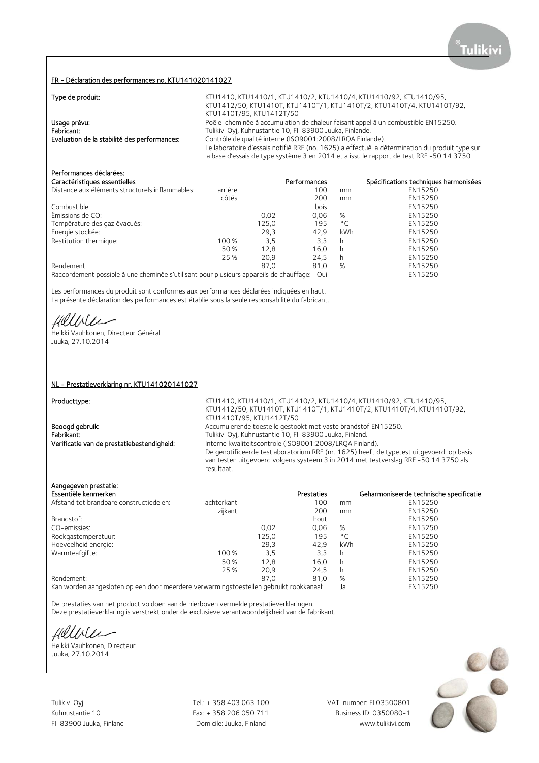#### FR - Déclaration des performances no. KTU141020141027

|  | Type de produit: |
|--|------------------|
|  |                  |

KTU1410, KTU1410/1, KTU1410/2, KTU1410/4, KTU1410/92, KTU1410/95, KTU1412/50, KTU1410T, KTU1410T/1, KTU1410T/2, KTU1410T/4, KTU1410T/92, KTU1410T/95, KTU1412T/50 Usage prévu: Poêle-cheminée à accumulation de chaleur faisant appel à un combustible EN15250. Fabricant:<br> **Fabricant:** Tulikivi Oyj, Kuhnustantie 10, FI-83900 Juuka, Finlande.<br>
Contrôle de qualité interne (ISO9001:2008/LRQA Finlande. Contrôle de qualité interne (ISO9001:2008/LRQA Finlande). Le laboratoire d'essais notifié RRF (no. 1625) a effectué la détermination du produit type sur la base d'essais de type système 3 en 2014 et a issu le rapport de test RRF -50 14 3750.

# Performances déclarées:

| Caractéristiques essentielles                                                           |         |       | Performances |              | Spécifications techniques harmonisées |
|-----------------------------------------------------------------------------------------|---------|-------|--------------|--------------|---------------------------------------|
| Distance aux éléments structurels inflammables:                                         | arrière |       | 100          | mm           | EN15250                               |
|                                                                                         | côtés   |       | 200          | mm           | EN15250                               |
| Combustible:                                                                            |         |       | bois         |              | EN15250                               |
| Émissions de CO:                                                                        |         | 0.02  | 0,06         | %            | EN15250                               |
| Température des gaz évacués:                                                            |         | 125,0 | 195          | $^{\circ}$ C | EN15250                               |
| Energie stockée:                                                                        |         | 29.3  | 42.9         | kWh          | EN15250                               |
| Restitution thermique:                                                                  | 100 %   | 3,5   | 3.3          | h            | EN15250                               |
|                                                                                         | 50%     | 12,8  | 16.0         | h            | EN15250                               |
|                                                                                         | 25 %    | 20.9  | 24.5         | h            | EN15250                               |
| Rendement:                                                                              |         | 87.0  | 81.0         | %            | EN15250                               |
| Raccordement possible à une cheminée s'utilisant pour plusieurs appareils de chauffage: |         |       | . Oui        |              | EN15250                               |

Les performances du produit sont conformes aux performances déclarées indiquées en haut. La présente déclaration des performances est établie sous la seule responsabilité du fabricant.

Hillble

Heikki Vauhkonen, Directeur Général Juuka, 27.10.2014

#### NL - Prestatieverklaring nr. KTU141020141027

Producttype: **KTU1410, KTU1410/1, KTU1410/2, KTU1410/4**, KTU1410/92, KTU1410/95, KTU1412/50, KTU1410T, KTU1410T/1, KTU1410T/2, KTU1410T/4, KTU1410T/92, KTU1410T/95, KTU1412T/50 Beoogd gebruik: Accumulerende toestelle gestookt met vaste brandstof EN15250. Fabrikant: Tulikivi Oyj, Kuhnustantie 10, FI-83900 Juuka, Finland.<br>1. Tulikivi Oyj, Kuhnustantie 10, FI-83900 Juuka, Finland. Verificatie van de prestatiebestendigheid: Interne Interne kwaliteitscontrole (ISO9001:2008/LROA Finland). De genotificeerde testlaboratorium RRF (nr. 1625) heeft de typetest uitgevoerd op basis van testen uitgevoerd volgens systeem 3 in 2014 met testverslag RRF -50 14 3750 als resultaat.

## Aangegeven prestatie:

| Essentiële kenmerken                    |            |       | <b>Prestaties</b> |              | Geharmoniseerde technische specificatie |
|-----------------------------------------|------------|-------|-------------------|--------------|-----------------------------------------|
| Afstand tot brandbare constructiedelen: | achterkant |       | 100               | mm           | EN15250                                 |
|                                         | zijkant    |       | 200               | mm           | EN15250                                 |
| Brandstof:                              |            |       | hout              |              | EN15250                                 |
| CO-emissies:                            |            | 0.02  | 0,06              | %            | EN15250                                 |
| Rookgastemperatuur:                     |            | 125,0 | 195               | $^{\circ}$ C | EN15250                                 |
| Hoeveelheid energie:                    |            | 29,3  | 42.9              | kWh          | EN15250                                 |
| Warmteafgifte:                          | 100 %      | 3,5   | 3,3               | h            | EN15250                                 |
|                                         | 50 %       | 12.8  | 16.0              | h            | EN15250                                 |
|                                         | 25 %       | 20.9  | 24.5              | h            | EN15250                                 |
| Rendement:                              |            | 87.0  | 81.0              | %            | EN15250                                 |
|                                         |            |       |                   |              | F114F2F2                                |

Kan worden aangesloten op een door meerdere verwarmingstoestellen gebruikt rookkanaal: Ja EN15250

De prestaties van het product voldoen aan de hierboven vermelde prestatieverklaringen. Deze prestatieverklaring is verstrekt onder de exclusieve verantwoordelijkheid van de fabrikant.

Hillble

Heikki Vauhkonen, Directeur Juuka, 27.10.2014

Tulikivi Oyj Tel.: + 358 403 063 100 VAT-number: FI 03500801

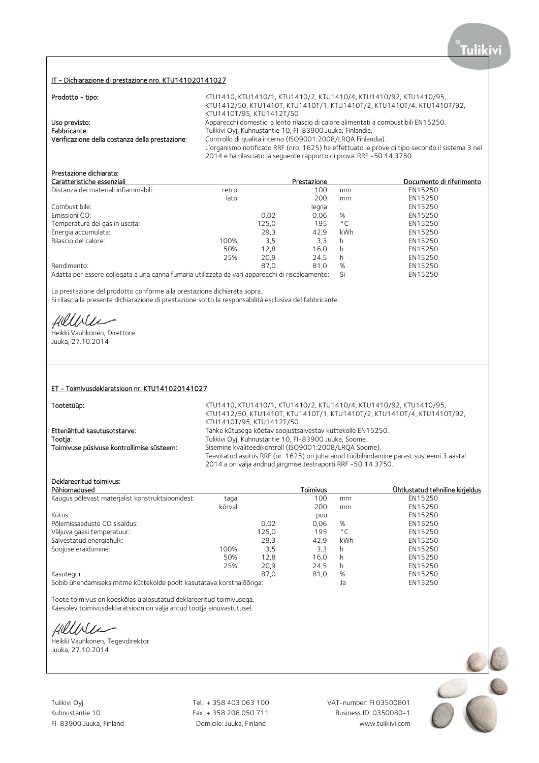#### IT - Dichiarazione di prestazione nro. KTU141020141027

| Prodotto - tipo:                                | KTU1410, KTU1410/1, KTU1410/2, KTU1410/4, KTU1410/92, KTU1410/95,                              |
|-------------------------------------------------|------------------------------------------------------------------------------------------------|
|                                                 | KTU1412/50, KTU1410T, KTU1410T/1, KTU1410T/2, KTU1410T/4, KTU1410T/92,                         |
|                                                 | KTU1410T/95, KTU1412T/50                                                                       |
| Uso previsto:                                   | Apparecchi domestici a lento rilascio di calore alimentati a combustibili EN15250.             |
| Fabbricante:                                    | Tulikivi Oyi, Kuhnustantie 10, FI-83900 Juuka, Finlandia.                                      |
| Verificazione della costanza della prestazione: | Controllo di qualità interno (ISO9001:2008/LRQA Finlandia).                                    |
|                                                 | L'organismo notificato RRF (nro. 1625) ha effettuato le prove di tipo secondo il sistema 3 nel |
|                                                 | 2014 e ha rilasciato la sequente rapporto di prova: RRF -50 14 3750.                           |

# Prestazione dichiarata:

|       | Prestazione |                                                                                                 | Documento di riferimento |
|-------|-------------|-------------------------------------------------------------------------------------------------|--------------------------|
|       | 100         | mm                                                                                              | EN15250                  |
|       | 200         | mm                                                                                              | EN15250                  |
|       | legna       |                                                                                                 | EN15250                  |
| 0.02  | 0.06        | %                                                                                               | EN15250                  |
| 125,0 | 195         | $^{\circ}$ C                                                                                    | EN15250                  |
| 29,3  | 42.9        | kWh                                                                                             | EN15250                  |
| 3,5   | 3.3         | h                                                                                               | EN15250                  |
| 12.8  | 16.0        | h                                                                                               | EN15250                  |
| 20.9  | 24.5        | h                                                                                               | EN15250                  |
| 87.0  | 81.0        | %                                                                                               | EN15250                  |
|       |             | Si                                                                                              | EN15250                  |
|       |             | Adatta per essere collegata a una canna fumaria utilizzata da vari apparecchi di riscaldamento: |                          |

La prestazione del prodotto conforme alla prestazione dichiarata sopra. Si rilascia la presente dichiarazione di prestazione sotto la responsabilità esclusiva del fabbricante.

fillile

Heikki Vauhkonen, Direttore Juuka, 27.10.2014

#### ET - Toimivusdeklaratsioon nr. KTU141020141027

Tootetüüp: KTU1410, KTU1410/1, KTU1410/2, KTU1410/4, KTU1410/92, KTU1410/95, KTU1412/50, KTU1410T, KTU1410T/1, KTU1410T/2, KTU1410T/4, KTU1410T/92, KTU1410T/95, KTU1412T/50 Ettenähtud kasutusotstarve: Tahke kütusega köetav soojustsalvestav küttekolle EN15250. Tootja: Tootja: Tulikivi Oyj, Kuhnustantie 10, FI-83900 Juuka, Soome. Toimivuse püsivuse kontrollimise süsteem: Sisemine kvaliteedikontroll (ISO9001:2008/LRQA Soome). Teavitatud asutus RRF (nr. 1625) on juhatanud tüübihindamine pärast süsteemi 3 aastal 2014 a on välja andnud järgmise testraporti RRF -50 14 3750.

# Deklareeritud toimivus:

| Põhiomadused                                                                                    |        |       | Toimivus |              | Ühtlustatud tehniline kirieldus |
|-------------------------------------------------------------------------------------------------|--------|-------|----------|--------------|---------------------------------|
| Kaugus põlevast materjalist konstruktsioonidest:                                                | taqa   |       | 100      | mm           | EN15250                         |
|                                                                                                 | kõrval |       | 200      | mm           | EN15250                         |
| Kütus:                                                                                          |        |       | puu      |              | EN15250                         |
| Põlemissaaduste CO sisaldus:                                                                    |        | 0.02  | 0,06     | %            | EN15250                         |
| Väljuva gaasi temperatuur:                                                                      |        | 125,0 | 195      | $^{\circ}$ C | EN15250                         |
| Salvestatud energiahulk:                                                                        |        | 29,3  | 42.9     | kWh          | EN15250                         |
| Soojuse eraldumine:                                                                             | 100%   | 3,5   | 3,3      | h            | EN15250                         |
|                                                                                                 | 50%    | 12,8  | 16.0     | h            | EN15250                         |
|                                                                                                 | 25%    | 20,9  | 24.5     | h            | EN15250                         |
| Kasutegur:                                                                                      |        | 87,0  | 81,0     | %            | EN15250                         |
| . A shift who so do not show that is the matched down of the transmission to a matched weather. |        |       |          |              | <b>FULLEDED</b>                 |

Sobib ühendamiseks mitme küttekolde poolt kasutatava korstnalõõriga: Ja EN15250

Toote toimivus on kooskõlas ülalosutatud deklareeritud toimivusega. Käesolev toimivusdeklaratsioon on välja antud tootja ainuvastutusel.

Hillble

Heikki Vauhkonen, Tegevdirektor Juuka, 27.10.2014

Tulikivi Oyj Tel.: + 358 403 063 100 VAT-number: FI 03500801

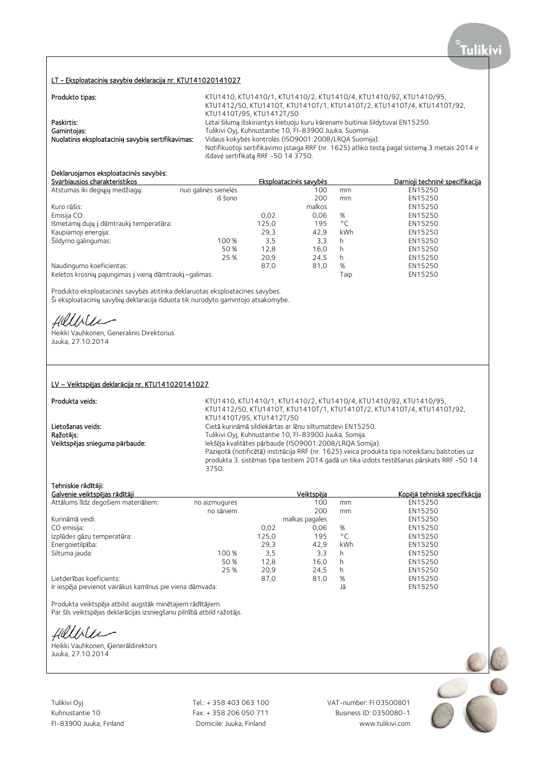# LT - Eksploatacini**ų** savybi**ų** deklaracij**ą** nr. KTU141020141027

| Produkto tipas:                                   | KTU1410, KTU1410/1, KTU1410/2, KTU1410/4, KTU1410/92, KTU1410/95,                              |
|---------------------------------------------------|------------------------------------------------------------------------------------------------|
|                                                   | KTU1412/50, KTU1410T, KTU1410T/1, KTU1410T/2, KTU1410T/4, KTU1410T/92,                         |
|                                                   | KTU1410T/95, KTU1412T/50                                                                       |
| Paskirtis:                                        | Lėtai šilumą išskiriantys kietuoju kuru kūrenami buitiniai šildytuvai EN15250.                 |
| Gamintojas:                                       | Tulikivi Oyj, Kuhnustantie 10, FI-83900 Juuka, Suomija.                                        |
| Nuolatinis eksploataciniu savybiu sertifikavimas: | Vidaus kokybės kontrolės (ISO9001:2008/LROA Suomija).                                          |
|                                                   | Notifikuotoji sertifikavimo įstaiga RRF (nr. 1625) atliko testą pagal sistemą 3 metais 2014 ir |
|                                                   | išdavė sertifikatą RRF -50 14 3750.                                                            |

# Deklaruojamos eksploatacin**ė**s savyb**ė**s:

| Svarbiausios charakteristikos                         |                      |       | Eksploatacinės savybės |              | Darnioji techninė specifikacija |
|-------------------------------------------------------|----------------------|-------|------------------------|--------------|---------------------------------|
| Atstumas iki degiųjų medžiagų:                        | nuo galinės sienelės |       | 100                    | mm           | EN15250                         |
|                                                       | iš šono              |       | 200                    | mm           | EN15250                         |
| Kuro rūšis:                                           |                      |       | malkos                 |              | EN15250                         |
| Emisija CO:                                           |                      | 0.02  | 0.06                   | %            | EN15250                         |
| Išmetamų dujų į dūmtraukį temperatūra:                |                      | 125,0 | 195                    | $^{\circ}$ C | EN15250                         |
| Kaupiamoji energija:                                  |                      | 29,3  | 42.9                   | kWh          | EN15250                         |
| Šildymo galingumas:                                   | 100 %                | 3,5   | 3,3                    | h            | EN15250                         |
|                                                       | 50 %                 | 12,8  | 16,0                   | h            | EN15250                         |
|                                                       | 25 %                 | 20.9  | 24.5                   | h            | EN15250                         |
| Naudingumo koeficientas:                              |                      | 87,0  | 81,0                   | %            | EN15250                         |
| Keletos krosnių pajungimas į vieną dūmtraukį–galimas: |                      |       |                        | Taip         | EN15250                         |

Produkto eksploatacinės savybės atitinka deklaruotas eksploatacines savybes. Ši eksploatacinių savybių deklaracija išduota tik nurodyto gamintojo atsakomybe.

fillbile

Heikki Vauhkonen, Generalinis Direktorius Juuka, 27.10.2014

#### LV – Veiktsp**ē**jas deklar**ā**cija nr. KTU141020141027

| Produkta veids:                | KTU1410, KTU1410/1, KTU1410/2, KTU1410/4, KTU1410/92, KTU1410/95,                             |
|--------------------------------|-----------------------------------------------------------------------------------------------|
|                                | KTU1412/50, KTU1410T, KTU1410T/1, KTU1410T/2, KTU1410T/4, KTU1410T/92,                        |
|                                | KTU1410T/95, KTU1412T/50                                                                      |
| Lietošanas veids:              | Cietā kurināmā sildiekārtas ar lēnu siltumatdevi EN15250.                                     |
| Ražotājs:                      | Tulikivi Oyj, Kuhnustantie 10, FI-83900 Juuka, Somija.                                        |
| Veiktspējas snieguma pārbaude: | Iekšēja kvalitātes pārbaude (ISO9001:2008/LRQA Somija).                                       |
|                                | Paziņotā (notificētā) institūcija RRF (nr. 1625) veica produkta tipa noteikšanu balstoties uz |
|                                | produkta 3. sistēmas tipa testiem 2014 gadā un tika izdots testēšanas pārskats RRF -50 14     |
|                                | 3750.                                                                                         |

## Tehniskie r**ā**d**ī**t**ā**ji:

| Galvenie veiktspējas rādītāji                            |               |       | Veiktspēja     |              | Kopējā tehniskā specifkācija |
|----------------------------------------------------------|---------------|-------|----------------|--------------|------------------------------|
| Attālums līdz degošiem materiāliem:                      | no aizmugures |       | 100            | mm           | EN15250                      |
|                                                          | no sāniem     |       | 200            | mm           | EN15250                      |
| Kurināmā veidi:                                          |               |       | malkas pagales |              | EN15250                      |
| CO emisija:                                              |               | 0,02  | 0,06           | %            | EN15250                      |
| Izplūdes gāzu temperatūra:                               |               | 125,0 | 195            | $^{\circ}$ C | EN15250                      |
| Energoietilpība:                                         |               | 29.3  | 42.9           | kWh          | EN15250                      |
| Siltuma jauda:                                           | 100 %         | 3,5   | 3,3            | h            | EN15250                      |
|                                                          | 50%           | 12,8  | 16,0           | h            | EN15250                      |
|                                                          | 25 %          | 20,9  | 24.5           | h            | EN15250                      |
| Lietderības koeficients:                                 |               | 87,0  | 81,0           | %            | EN15250                      |
| Ir iespēja pievienot vairākus kamīnus pie viena dūmvada: |               |       |                | Jā           | EN15250                      |

Produkta veiktspēja atbilst augstāk minētajiem rādītājiem. Par šīs veiktspējas deklarācijas izsniegšanu pilnībā atbild ražotājs.

Hillble

Heikki Vauhkonen, Ģenerāldirektors Juuka, 27.10.2014

Kuhnustantie 10 Fax: + 358 206 050 711

Tulikivi Oyj Tel.: + 358 403 063 100 VAT-number: FI 03500801 FI-83900 Juuka, Finland Domicile: Juuka, Finland www.tulikivi.com

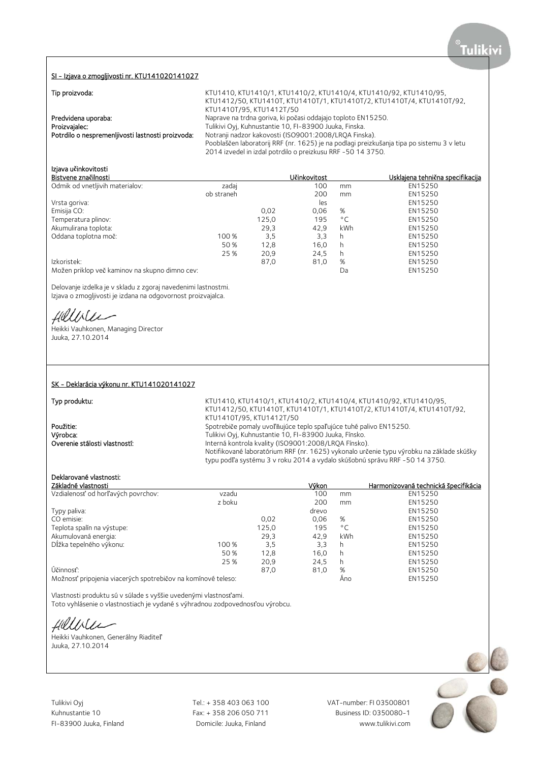#### SI - Izjava o zmogljivosti nr. KTU141020141027

|  | Tip proizvoda: |  |
|--|----------------|--|
|  |                |  |
|  |                |  |

| TIP PROIZVOUJ.                                    | <u>NIUT4TU, NIUT4TU/T, NIUT4TU/Z, NIUT4TU/4, NIUT4TU/92, NIUT4TU/93,</u>                  |
|---------------------------------------------------|-------------------------------------------------------------------------------------------|
|                                                   | KTU1412/50, KTU1410T, KTU1410T/1, KTU1410T/2, KTU1410T/4, KTU1410T/92,                    |
|                                                   | KTU1410T/95, KTU1412T/50                                                                  |
| Predvidena uporaba:                               | Naprave na trdna goriva, ki počasi oddajajo toploto EN15250.                              |
| Proizvajalec:                                     | Tulikivi Oyj, Kuhnustantie 10, FI-83900 Juuka, Finska.                                    |
| Potrdilo o nespremenljivosti lastnosti proizvoda: | Notranji nadzor kakovosti (ISO9001:2008/LRQA Finska).                                     |
|                                                   | Pooblaščen laboratorij RRF (nr. 1625) je na podlagi preizkušanja tipa po sistemu 3 v letu |
|                                                   | 2014 izvedel in izdal potrdilo o preizkusu RRF -50 14 3750.                               |
|                                                   |                                                                                           |

Tip provided the project of the project of the project of the project of the project of the project of the project of the project of the project of the project of the project of the project of the project of the project of

## Izjava u**č**inkovitosti

| Bistvene značilnosti                           |            |       | Učinkovitost |              | Usklajena tehnična specifikacija |
|------------------------------------------------|------------|-------|--------------|--------------|----------------------------------|
| Odmik od vnetljivih materialov:                | zadaj      |       | 100          | mm           | EN15250                          |
|                                                | ob straneh |       | 200          | mm           | EN15250                          |
| Vrsta goriva:                                  |            |       | les          |              | EN15250                          |
| Emisija CO:                                    |            | 0.02  | 0,06         | %            | EN15250                          |
| Temperatura plinov:                            |            | 125,0 | 195          | $^{\circ}$ C | EN15250                          |
| Akumulirana toplota:                           |            | 29,3  | 42.9         | kWh          | EN15250                          |
| Oddana toplotna moč:                           | 100 %      | 3,5   | 3,3          | h            | EN15250                          |
|                                                | 50 %       | 12,8  | 16,0         | h            | EN15250                          |
|                                                | 25 %       | 20,9  | 24,5         | h            | EN15250                          |
| Izkoristek:                                    |            | 87,0  | 81,0         | %            | EN15250                          |
| Možen priklop več kaminov na skupno dimno cev: |            |       |              | Da           | EN15250                          |
|                                                |            |       |              |              |                                  |

Delovanje izdelka je v skladu z zgoraj navedenimi lastnostmi. Izjava o zmogljivosti je izdana na odgovornost proizvajalca.

Hillbler

Heikki Vauhkonen, Managing Director Juuka, 27.10.2014

|  | SK - Deklarácia výkonu nr. KTU141020141027 |
|--|--------------------------------------------|
|  |                                            |

Typ produktu: KTU1410, KTU1410/1, KTU1410/2, KTU1410/4, KTU1410/92, KTU1410/95, KTU1412/50, KTU1410T, KTU1410T/1, KTU1410T/2, KTU1410T/4, KTU1410T/92, KTU1410T/95, KTU1412T/50 **Použitie:** Spotrebiče pomaly uvoľňujúce teplo spaľujúce tuhé palivo EN15250.<br>Výrobca: Spotrebiče pro Tulikivi Oyj, Kuhnustantie 10, Fl-83900 Juuka, Fínsko. Výrobca: Tulikivi Oyj, Kuhnustantie 10, FI-83900 Juuka, Fínsko. Interná kontrola kvality (ISO9001:2008/LROA Fínsko). Notifikované laboratórium RRF (nr. 1625) vykonalo určenie typu výrobku na základe skúšky typu podľa systému 3 v roku 2014 a vydalo skúšobnú správu RRF -50 14 3750.

# Deklarované vlastnosti:

| Základné vlastnosti                                          |        |       | Výkon |              | Harmonizovaná technická špecifikácia |
|--------------------------------------------------------------|--------|-------|-------|--------------|--------------------------------------|
| Vzdialenosť od horľavých povrchov:                           | vzadu  |       | 100   | mm           | EN15250                              |
|                                                              | z boku |       | 200   | mm           | EN15250                              |
| Typy paliva:                                                 |        |       | drevo |              | EN15250                              |
| CO emisie:                                                   |        | 0,02  | 0.06  | %            | EN15250                              |
| Teplota spalín na výstupe:                                   |        | 125,0 | 195   | $^{\circ}$ C | EN15250                              |
| Akumulovaná energia:                                         |        | 29,3  | 42.9  | <b>kWh</b>   | EN15250                              |
| Dĺžka tepelného výkonu:                                      | 100 %  | 3,5   | 3.3   | h            | EN15250                              |
|                                                              | 50%    | 12,8  | 16.0  | h            | EN15250                              |
|                                                              | 25 %   | 20,9  | 24.5  | h            | EN15250                              |
| Účinnosť:                                                    |        | 87,0  | 81,0  | %            | EN15250                              |
| Možnosť pripojenia viacerých spotrebičov na komínové teleso: |        |       |       | Ano          | EN15250                              |

Vlastnosti produktu sú v súlade s vyššie uvedenými vlastnosťami. Toto vyhlásenie o vlastnostiach je vydané s výhradnou zodpovednosťou výrobcu.

Hillble

Heikki Vauhkonen, Generálny Riaditeľ Juuka, 27.10.2014

Tulikivi Oyj **Tel.: + 358 403 063 100** VAT-number: FI 03500801